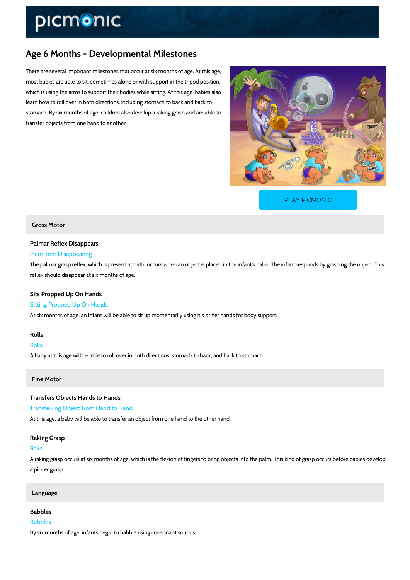# Age 6 Months - Developmental Milestones

There are several important milestones that occur at six months of age. At this age, most babies are able to sit, sometimes alone or with support in the tripod position, which is using the arms to support their bodies while sitting. At this age, babies also learn how to roll over in both directions, including stomach to back and back to stomach. By six months of age, children also develop a raking grasp and are able to transfer objects from one hand to another.

[PLAY PICMONIC](https://www.picmonic.com/learn/age-6-months-developmental-milestones_5761?utm_source=downloadable_content&utm_medium=distributedcontent&utm_campaign=pathways_pdf&utm_content=Age 6 Months - Developmental Milestones&utm_ad_group=leads&utm_market=all)

### Gross Motor

### Palmar Reflex Disappears

#### Palm-tree Disappearing

The palmar grasp reflex, which is present at birth, occurs when an object is placed in the infa reflex should disappear at six months of age.

# Sits Propped Up On Hands

Sitting Propped Up On Hands At six months of age, an infant will be able to sit up momentarily using his or her hands for b

### Rolls

# Rolls A baby at this age will be able to roll over in both directions; stomach to back, and back to st

#### Fine Motor

Transfers Objects Hands to Hands Transferring Object from Hand to Hand At this age, a baby will be able to transfer an object from one hand to the other hand.

# Raking Grasp Rake A raking grasp occurs at six months of age, which is the flexion of fingers to bring objects into a pincer grasp.

#### Language

### Babbles

#### Bubbles

By six months of age, infants begin to babble using consonant sounds.